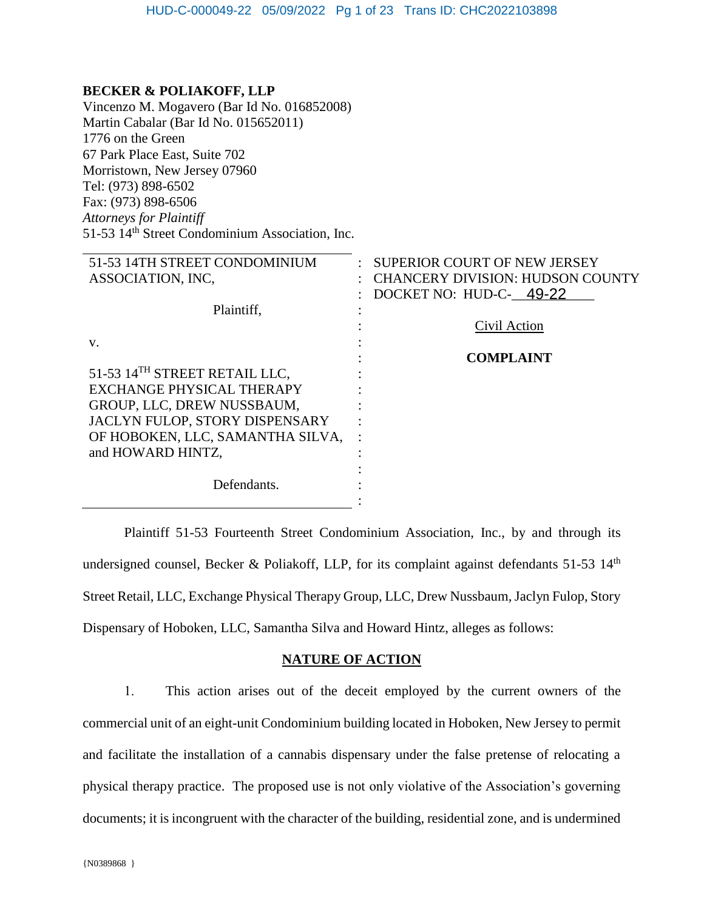## **BECKER & POLIAKOFF, LLP**

Vincenzo M. Mogavero (Bar Id No. 016852008) Martin Cabalar (Bar Id No. 015652011) 1776 on the Green 67 Park Place East, Suite 702 Morristown, New Jersey 07960 Tel: (973) 898-6502 Fax: (973) 898-6506 *Attorneys for Plaintiff* 51-53 14th Street Condominium Association, Inc.

| 51-53 14TH STREET CONDOMINIUM             | <b>SUPERIOR COURT OF NEW JERSEY</b>     |
|-------------------------------------------|-----------------------------------------|
| ASSOCIATION, INC.                         | <b>CHANCERY DIVISION: HUDSON COUNTY</b> |
|                                           | DOCKET NO: HUD-C- 49-22                 |
| Plaintiff,                                |                                         |
|                                           | Civil Action                            |
| V.                                        |                                         |
|                                           | <b>COMPLAINT</b>                        |
| 51-53 14 <sup>TH</sup> STREET RETAIL LLC. |                                         |
| EXCHANGE PHYSICAL THERAPY                 |                                         |
| GROUP, LLC, DREW NUSSBAUM,                |                                         |
| JACLYN FULOP, STORY DISPENSARY            |                                         |
| OF HOBOKEN, LLC, SAMANTHA SILVA,          |                                         |
| and HOWARD HINTZ,                         |                                         |
|                                           |                                         |
| Defendants.                               |                                         |
|                                           |                                         |

Plaintiff 51-53 Fourteenth Street Condominium Association, Inc., by and through its undersigned counsel, Becker & Poliakoff, LLP, for its complaint against defendants 51-53  $14<sup>th</sup>$ Street Retail, LLC, Exchange Physical Therapy Group, LLC, Drew Nussbaum, Jaclyn Fulop, Story Dispensary of Hoboken, LLC, Samantha Silva and Howard Hintz, alleges as follows:

### **NATURE OF ACTION**

1. This action arises out of the deceit employed by the current owners of the commercial unit of an eight-unit Condominium building located in Hoboken, New Jersey to permit and facilitate the installation of a cannabis dispensary under the false pretense of relocating a physical therapy practice. The proposed use is not only violative of the Association's governing documents; it is incongruent with the character of the building, residential zone, and is undermined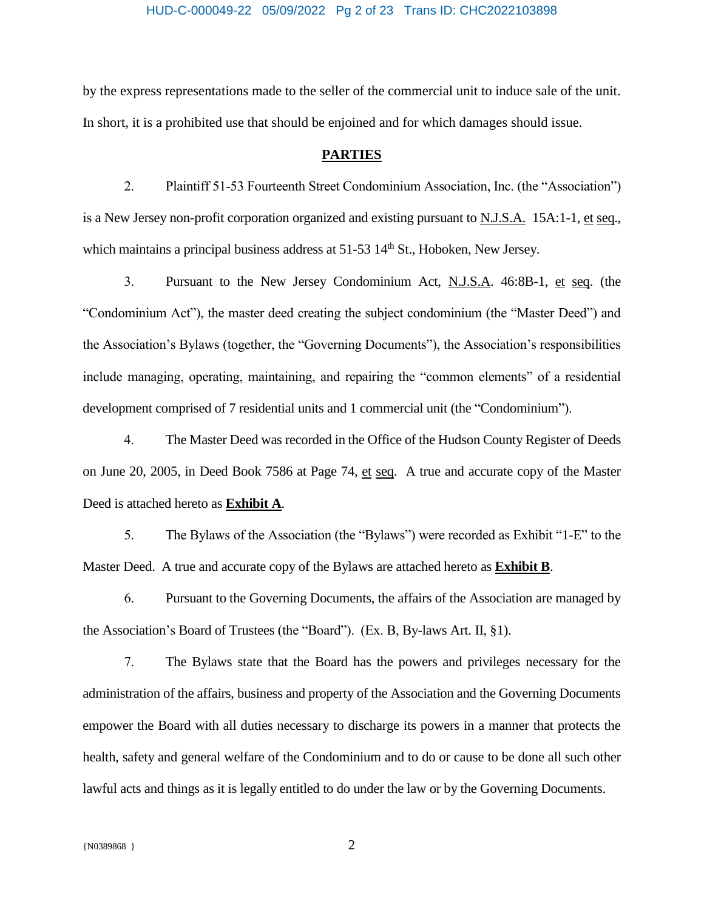## HUD-C-000049-22 05/09/2022 Pg 2 of 23 Trans ID: CHC2022103898

by the express representations made to the seller of the commercial unit to induce sale of the unit. In short, it is a prohibited use that should be enjoined and for which damages should issue.

#### **PARTIES**

2. Plaintiff 51-53 Fourteenth Street Condominium Association, Inc. (the "Association") is a New Jersey non-profit corporation organized and existing pursuant to N.J.S.A. 15A:1-1, et seq., which maintains a principal business address at  $51-53$   $14<sup>th</sup>$  St., Hoboken, New Jersey.

3. Pursuant to the New Jersey Condominium Act, N.J.S.A. 46:8B-1, et seq. (the "Condominium Act"), the master deed creating the subject condominium (the "Master Deed") and the Association's Bylaws (together, the "Governing Documents"), the Association's responsibilities include managing, operating, maintaining, and repairing the "common elements" of a residential development comprised of 7 residential units and 1 commercial unit (the "Condominium").

4. The Master Deed was recorded in the Office of the Hudson County Register of Deeds on June 20, 2005, in Deed Book 7586 at Page 74, et seq. A true and accurate copy of the Master Deed is attached hereto as **Exhibit A**.

5. The Bylaws of the Association (the "Bylaws") were recorded as Exhibit "1-E" to the Master Deed. A true and accurate copy of the Bylaws are attached hereto as **Exhibit B**.

6. Pursuant to the Governing Documents, the affairs of the Association are managed by the Association's Board of Trustees (the "Board"). (Ex. B, By-laws Art. II, §1).

7. The Bylaws state that the Board has the powers and privileges necessary for the administration of the affairs, business and property of the Association and the Governing Documents empower the Board with all duties necessary to discharge its powers in a manner that protects the health, safety and general welfare of the Condominium and to do or cause to be done all such other lawful acts and things as it is legally entitled to do under the law or by the Governing Documents.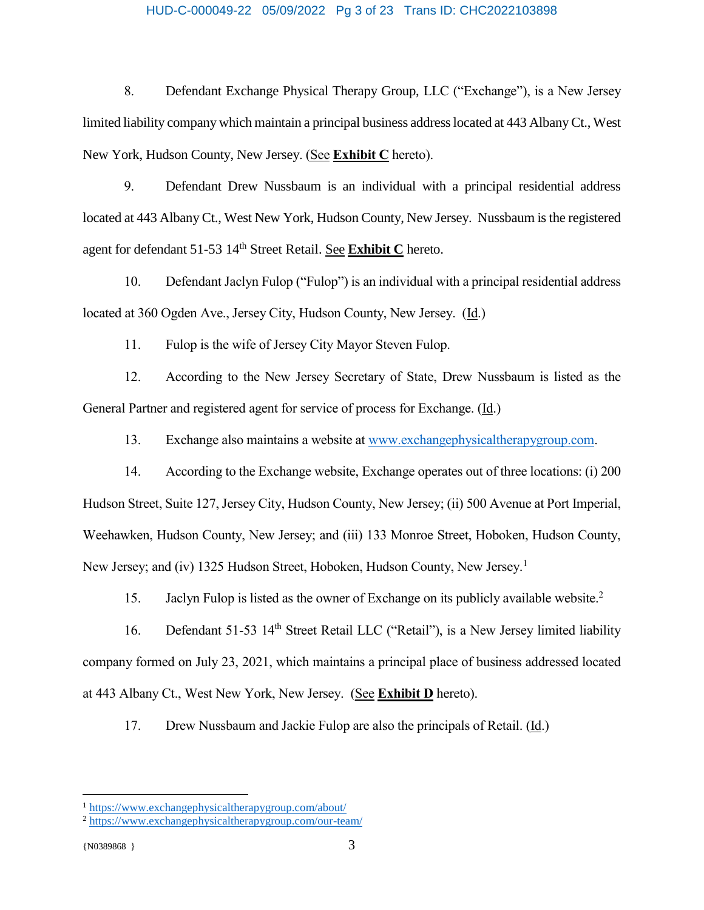#### HUD-C-000049-22 05/09/2022 Pg 3 of 23 Trans ID: CHC2022103898

8. Defendant Exchange Physical Therapy Group, LLC ("Exchange"), is a New Jersey limited liability company which maintain a principal business address located at 443 Albany Ct., West New York, Hudson County, New Jersey. (See **Exhibit C** hereto).

9. Defendant Drew Nussbaum is an individual with a principal residential address located at 443 Albany Ct., West New York, Hudson County, New Jersey. Nussbaum is the registered agent for defendant 51-53 14th Street Retail. See **Exhibit C** hereto.

10. Defendant Jaclyn Fulop ("Fulop") is an individual with a principal residential address located at 360 Ogden Ave., Jersey City, Hudson County, New Jersey. (Id.)

11. Fulop is the wife of Jersey City Mayor Steven Fulop.

12. According to the New Jersey Secretary of State, Drew Nussbaum is listed as the General Partner and registered agent for service of process for Exchange. (Id.)

13. Exchange also maintains a website at [www.exchangephysicaltherapygroup.com.](http://www.exchangephysicaltherapygroup.com/)

14. According to the Exchange website, Exchange operates out of three locations: (i) 200 Hudson Street, Suite 127, Jersey City, Hudson County, New Jersey; (ii) 500 Avenue at Port Imperial, Weehawken, Hudson County, New Jersey; and (iii) 133 Monroe Street, Hoboken, Hudson County, New Jersey; and (iv) 1325 Hudson Street, Hoboken, Hudson County, New Jersey.<sup>1</sup>

15. Jaclyn Fulop is listed as the owner of Exchange on its publicly available website.<sup>2</sup>

16. Defendant 51-53 14<sup>th</sup> Street Retail LLC ("Retail"), is a New Jersey limited liability company formed on July 23, 2021, which maintains a principal place of business addressed located at 443 Albany Ct., West New York, New Jersey. (See **Exhibit D** hereto).

17. Drew Nussbaum and Jackie Fulop are also the principals of Retail. (Id.)

 $\overline{a}$ 

<sup>1</sup> <https://www.exchangephysicaltherapygroup.com/about/>

<sup>2</sup> <https://www.exchangephysicaltherapygroup.com/our-team/>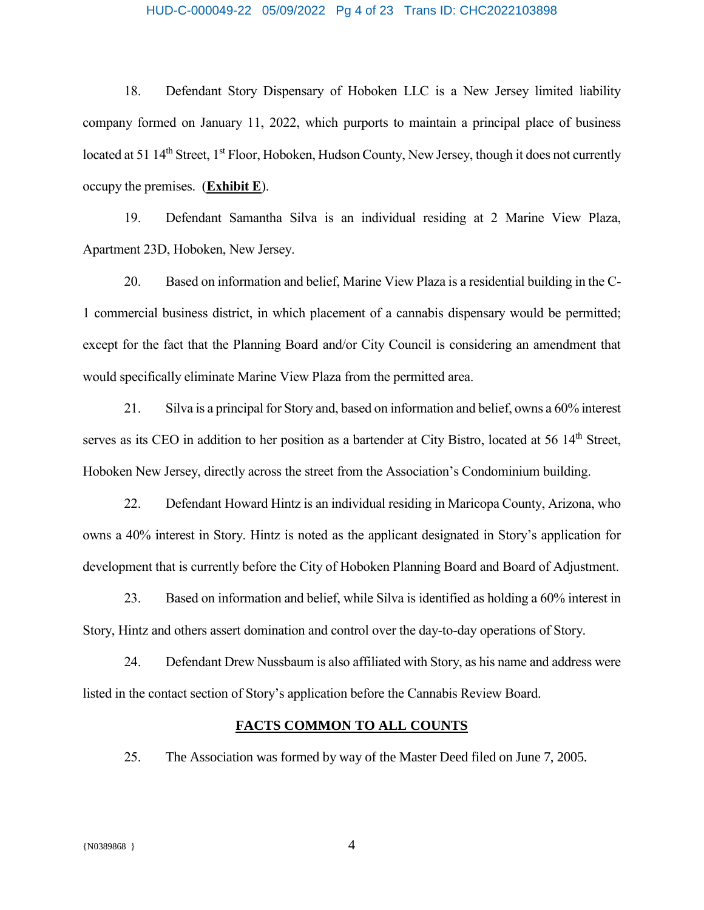#### HUD-C-000049-22 05/09/2022 Pg 4 of 23 Trans ID: CHC2022103898

18. Defendant Story Dispensary of Hoboken LLC is a New Jersey limited liability company formed on January 11, 2022, which purports to maintain a principal place of business located at 51 14<sup>th</sup> Street, 1<sup>st</sup> Floor, Hoboken, Hudson County, New Jersey, though it does not currently occupy the premises. (**Exhibit E**).

19. Defendant Samantha Silva is an individual residing at 2 Marine View Plaza, Apartment 23D, Hoboken, New Jersey.

20. Based on information and belief, Marine View Plaza is a residential building in the C-1 commercial business district, in which placement of a cannabis dispensary would be permitted; except for the fact that the Planning Board and/or City Council is considering an amendment that would specifically eliminate Marine View Plaza from the permitted area.

21. Silva is a principal for Story and, based on information and belief, owns a 60% interest serves as its CEO in addition to her position as a bartender at City Bistro, located at 56 14<sup>th</sup> Street, Hoboken New Jersey, directly across the street from the Association's Condominium building.

22. Defendant Howard Hintz is an individual residing in Maricopa County, Arizona, who owns a 40% interest in Story. Hintz is noted as the applicant designated in Story's application for development that is currently before the City of Hoboken Planning Board and Board of Adjustment.

23. Based on information and belief, while Silva is identified as holding a 60% interest in Story, Hintz and others assert domination and control over the day-to-day operations of Story.

24. Defendant Drew Nussbaum is also affiliated with Story, as his name and address were listed in the contact section of Story's application before the Cannabis Review Board.

#### **FACTS COMMON TO ALL COUNTS**

25. The Association was formed by way of the Master Deed filed on June 7, 2005.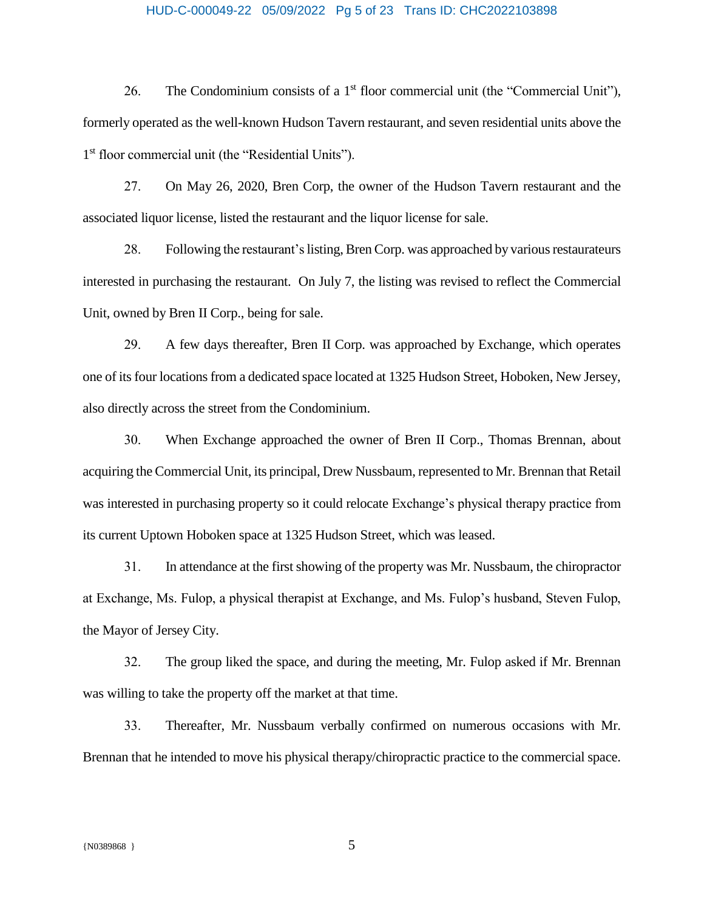#### HUD-C-000049-22 05/09/2022 Pg 5 of 23 Trans ID: CHC2022103898

26. The Condominium consists of a  $1<sup>st</sup>$  floor commercial unit (the "Commercial Unit"), formerly operated as the well-known Hudson Tavern restaurant, and seven residential units above the 1 st floor commercial unit (the "Residential Units").

27. On May 26, 2020, Bren Corp, the owner of the Hudson Tavern restaurant and the associated liquor license, listed the restaurant and the liquor license for sale.

28. Following the restaurant'slisting, Bren Corp. was approached by various restaurateurs interested in purchasing the restaurant. On July 7, the listing was revised to reflect the Commercial Unit, owned by Bren II Corp., being for sale.

29. A few days thereafter, Bren II Corp. was approached by Exchange, which operates one of its four locations from a dedicated space located at 1325 Hudson Street, Hoboken, New Jersey, also directly across the street from the Condominium.

30. When Exchange approached the owner of Bren II Corp., Thomas Brennan, about acquiring the Commercial Unit, its principal, Drew Nussbaum, represented to Mr. Brennan that Retail was interested in purchasing property so it could relocate Exchange's physical therapy practice from its current Uptown Hoboken space at 1325 Hudson Street, which was leased.

31. In attendance at the first showing of the property was Mr. Nussbaum, the chiropractor at Exchange, Ms. Fulop, a physical therapist at Exchange, and Ms. Fulop's husband, Steven Fulop, the Mayor of Jersey City.

32. The group liked the space, and during the meeting, Mr. Fulop asked if Mr. Brennan was willing to take the property off the market at that time.

33. Thereafter, Mr. Nussbaum verbally confirmed on numerous occasions with Mr. Brennan that he intended to move his physical therapy/chiropractic practice to the commercial space.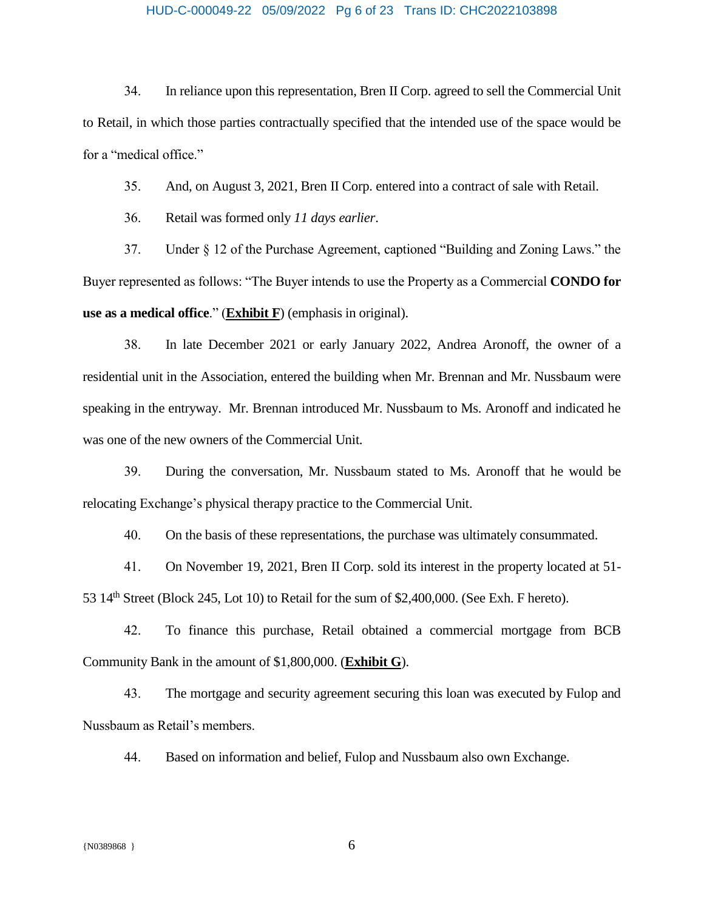#### HUD-C-000049-22 05/09/2022 Pg 6 of 23 Trans ID: CHC2022103898

34. In reliance upon this representation, Bren II Corp. agreed to sell the Commercial Unit to Retail, in which those parties contractually specified that the intended use of the space would be for a "medical office."

35. And, on August 3, 2021, Bren II Corp. entered into a contract of sale with Retail.

36. Retail was formed only *11 days earlier*.

37. Under § 12 of the Purchase Agreement, captioned "Building and Zoning Laws." the Buyer represented as follows: "The Buyer intends to use the Property as a Commercial **CONDO for use as a medical office**." (**Exhibit F**) (emphasis in original).

38. In late December 2021 or early January 2022, Andrea Aronoff, the owner of a residential unit in the Association, entered the building when Mr. Brennan and Mr. Nussbaum were speaking in the entryway. Mr. Brennan introduced Mr. Nussbaum to Ms. Aronoff and indicated he was one of the new owners of the Commercial Unit.

39. During the conversation, Mr. Nussbaum stated to Ms. Aronoff that he would be relocating Exchange's physical therapy practice to the Commercial Unit.

40. On the basis of these representations, the purchase was ultimately consummated.

41. On November 19, 2021, Bren II Corp. sold its interest in the property located at 51- 53  $14<sup>th</sup>$  Street (Block 245, Lot 10) to Retail for the sum of \$2,400,000. (See Exh. F hereto).

42. To finance this purchase, Retail obtained a commercial mortgage from BCB Community Bank in the amount of \$1,800,000. (**Exhibit G**).

43. The mortgage and security agreement securing this loan was executed by Fulop and Nussbaum as Retail's members.

44. Based on information and belief, Fulop and Nussbaum also own Exchange.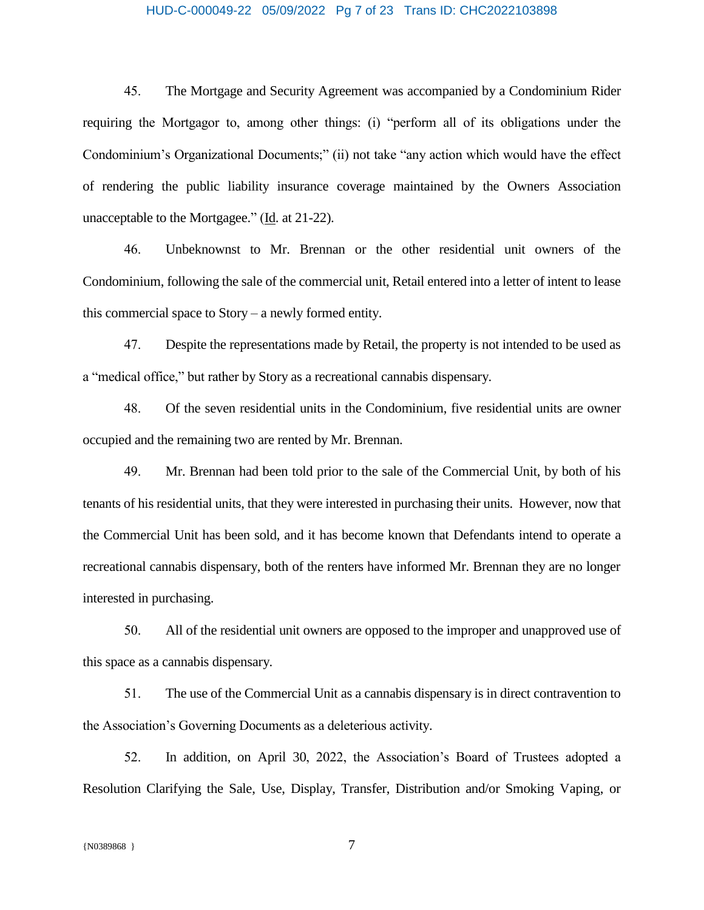#### HUD-C-000049-22 05/09/2022 Pg 7 of 23 Trans ID: CHC2022103898

45. The Mortgage and Security Agreement was accompanied by a Condominium Rider requiring the Mortgagor to, among other things: (i) "perform all of its obligations under the Condominium's Organizational Documents;" (ii) not take "any action which would have the effect of rendering the public liability insurance coverage maintained by the Owners Association unacceptable to the Mortgagee." (Id. at 21-22).

46. Unbeknownst to Mr. Brennan or the other residential unit owners of the Condominium, following the sale of the commercial unit, Retail entered into a letter of intent to lease this commercial space to Story – a newly formed entity.

47. Despite the representations made by Retail, the property is not intended to be used as a "medical office," but rather by Story as a recreational cannabis dispensary.

48. Of the seven residential units in the Condominium, five residential units are owner occupied and the remaining two are rented by Mr. Brennan.

49. Mr. Brennan had been told prior to the sale of the Commercial Unit, by both of his tenants of his residential units, that they were interested in purchasing their units. However, now that the Commercial Unit has been sold, and it has become known that Defendants intend to operate a recreational cannabis dispensary, both of the renters have informed Mr. Brennan they are no longer interested in purchasing.

50. All of the residential unit owners are opposed to the improper and unapproved use of this space as a cannabis dispensary.

51. The use of the Commercial Unit as a cannabis dispensary is in direct contravention to the Association's Governing Documents as a deleterious activity.

52. In addition, on April 30, 2022, the Association's Board of Trustees adopted a Resolution Clarifying the Sale, Use, Display, Transfer, Distribution and/or Smoking Vaping, or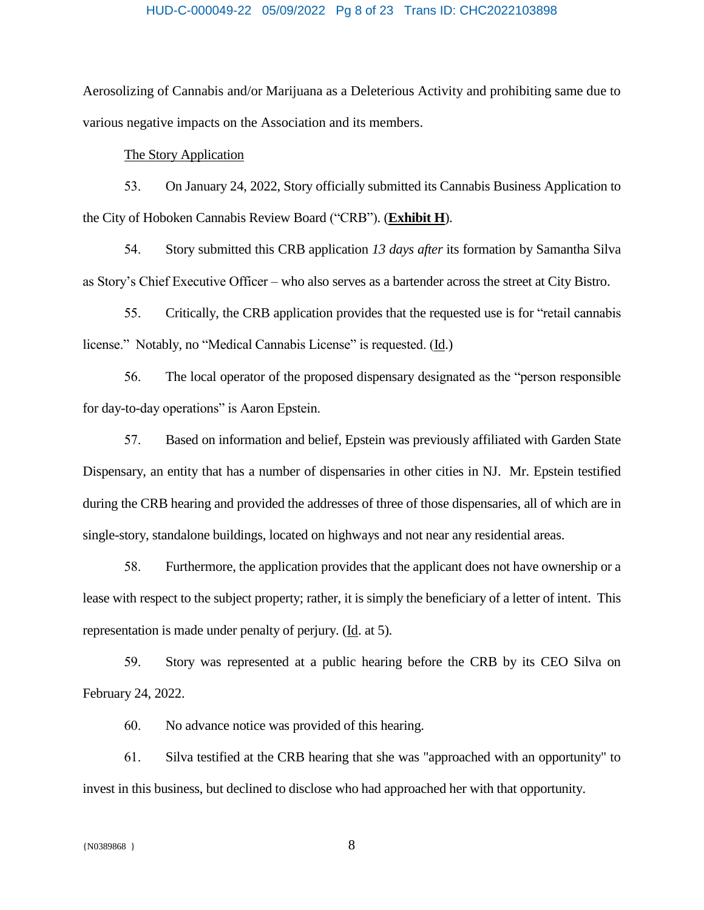#### HUD-C-000049-22 05/09/2022 Pg 8 of 23 Trans ID: CHC2022103898

Aerosolizing of Cannabis and/or Marijuana as a Deleterious Activity and prohibiting same due to various negative impacts on the Association and its members.

#### The Story Application

53. On January 24, 2022, Story officially submitted its Cannabis Business Application to the City of Hoboken Cannabis Review Board ("CRB"). (**Exhibit H**).

54. Story submitted this CRB application *13 days after* its formation by Samantha Silva as Story's Chief Executive Officer – who also serves as a bartender across the street at City Bistro.

55. Critically, the CRB application provides that the requested use is for "retail cannabis license." Notably, no "Medical Cannabis License" is requested. (Id.)

56. The local operator of the proposed dispensary designated as the "person responsible for day-to-day operations" is Aaron Epstein.

57. Based on information and belief, Epstein was previously affiliated with Garden State Dispensary, an entity that has a number of dispensaries in other cities in NJ. Mr. Epstein testified during the CRB hearing and provided the addresses of three of those dispensaries, all of which are in single-story, standalone buildings, located on highways and not near any residential areas.

58. Furthermore, the application provides that the applicant does not have ownership or a lease with respect to the subject property; rather, it is simply the beneficiary of a letter of intent. This representation is made under penalty of perjury.  $(\underline{Id}$ . at 5).

59. Story was represented at a public hearing before the CRB by its CEO Silva on February 24, 2022.

60. No advance notice was provided of this hearing.

61. Silva testified at the CRB hearing that she was "approached with an opportunity" to invest in this business, but declined to disclose who had approached her with that opportunity.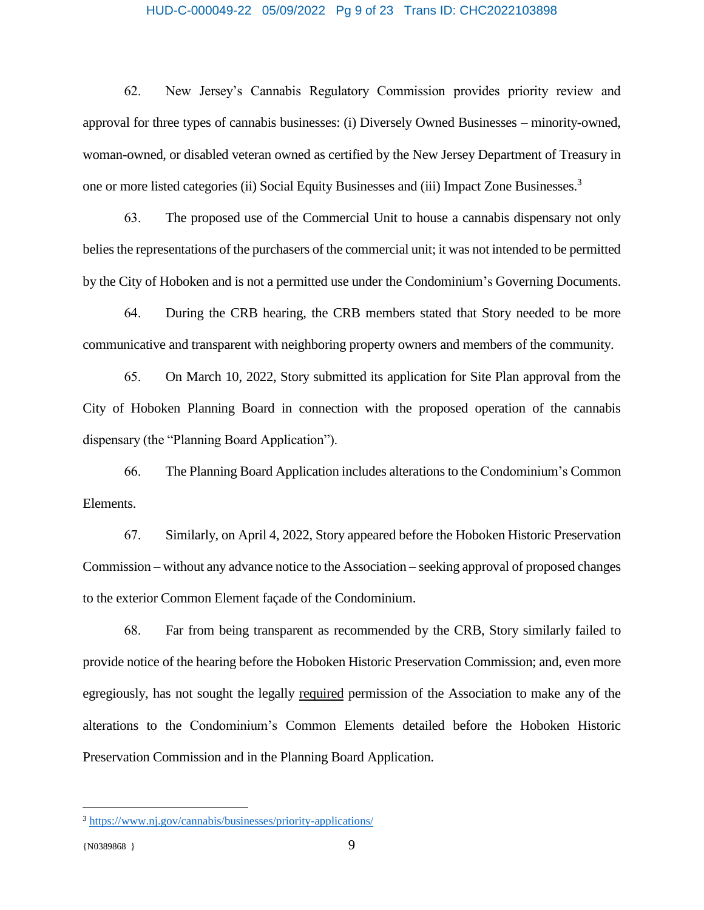#### HUD-C-000049-22 05/09/2022 Pg 9 of 23 Trans ID: CHC2022103898

62. New Jersey's Cannabis Regulatory Commission provides priority review and approval for three types of cannabis businesses: (i) Diversely Owned Businesses – minority-owned, woman-owned, or disabled veteran owned as certified by the New Jersey Department of Treasury in one or more listed categories (ii) Social Equity Businesses and (iii) Impact Zone Businesses.<sup>3</sup>

63. The proposed use of the Commercial Unit to house a cannabis dispensary not only belies the representations of the purchasers of the commercial unit; it was not intended to be permitted by the City of Hoboken and is not a permitted use under the Condominium's Governing Documents.

64. During the CRB hearing, the CRB members stated that Story needed to be more communicative and transparent with neighboring property owners and members of the community.

65. On March 10, 2022, Story submitted its application for Site Plan approval from the City of Hoboken Planning Board in connection with the proposed operation of the cannabis dispensary (the "Planning Board Application").

66. The Planning Board Application includes alterations to the Condominium's Common Elements.

67. Similarly, on April 4, 2022, Story appeared before the Hoboken Historic Preservation Commission – without any advance notice to the Association – seeking approval of proposed changes to the exterior Common Element façade of the Condominium.

68. Far from being transparent as recommended by the CRB, Story similarly failed to provide notice of the hearing before the Hoboken Historic Preservation Commission; and, even more egregiously, has not sought the legally required permission of the Association to make any of the alterations to the Condominium's Common Elements detailed before the Hoboken Historic Preservation Commission and in the Planning Board Application.

 $\overline{a}$ 

<sup>3</sup> <https://www.nj.gov/cannabis/businesses/priority-applications/>

<sup>{</sup>N0389868 } 9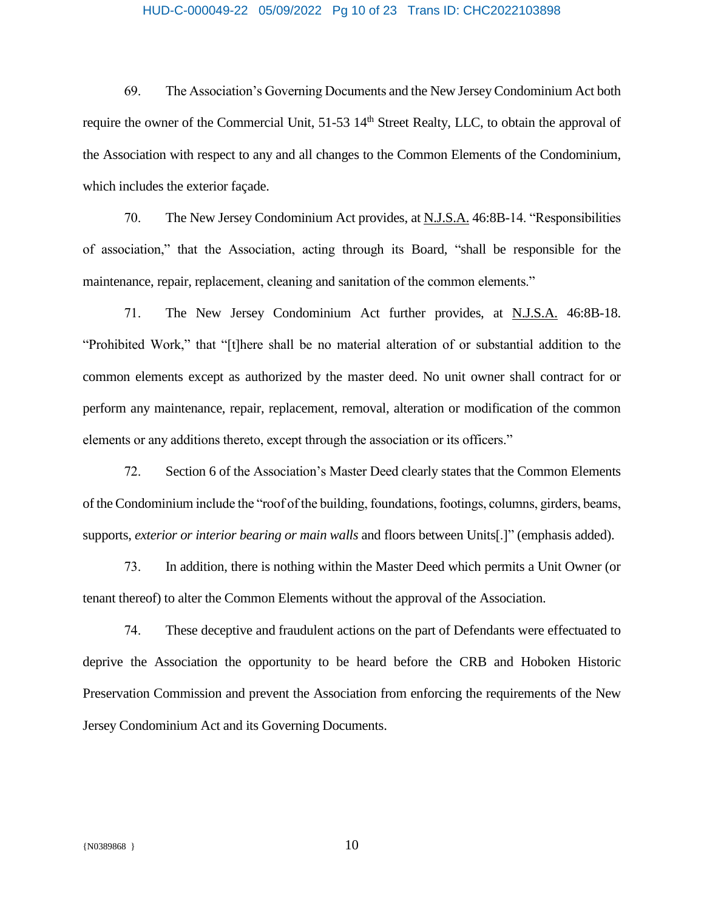## HUD-C-000049-22 05/09/2022 Pg 10 of 23 Trans ID: CHC2022103898

69. The Association's Governing Documents and the New Jersey Condominium Act both require the owner of the Commercial Unit, 51-53 14<sup>th</sup> Street Realty, LLC, to obtain the approval of the Association with respect to any and all changes to the Common Elements of the Condominium, which includes the exterior façade.

70. The New Jersey Condominium Act provides, at N.J.S.A. 46:8B-14. "Responsibilities of association," that the Association, acting through its Board, "shall be responsible for the maintenance, repair, replacement, cleaning and sanitation of the common elements."

71. The New Jersey Condominium Act further provides, at N.J.S.A. 46:8B-18. "Prohibited Work," that "[t]here shall be no material alteration of or substantial addition to the common elements except as authorized by the master deed. No unit owner shall contract for or perform any maintenance, repair, replacement, removal, alteration or modification of the common elements or any additions thereto, except through the association or its officers."

72. Section 6 of the Association's Master Deed clearly states that the Common Elements of the Condominium include the "roof of the building, foundations, footings, columns, girders, beams, supports, *exterior or interior bearing or main walls* and floors between Units[.]" (emphasis added).

73. In addition, there is nothing within the Master Deed which permits a Unit Owner (or tenant thereof) to alter the Common Elements without the approval of the Association.

74. These deceptive and fraudulent actions on the part of Defendants were effectuated to deprive the Association the opportunity to be heard before the CRB and Hoboken Historic Preservation Commission and prevent the Association from enforcing the requirements of the New Jersey Condominium Act and its Governing Documents.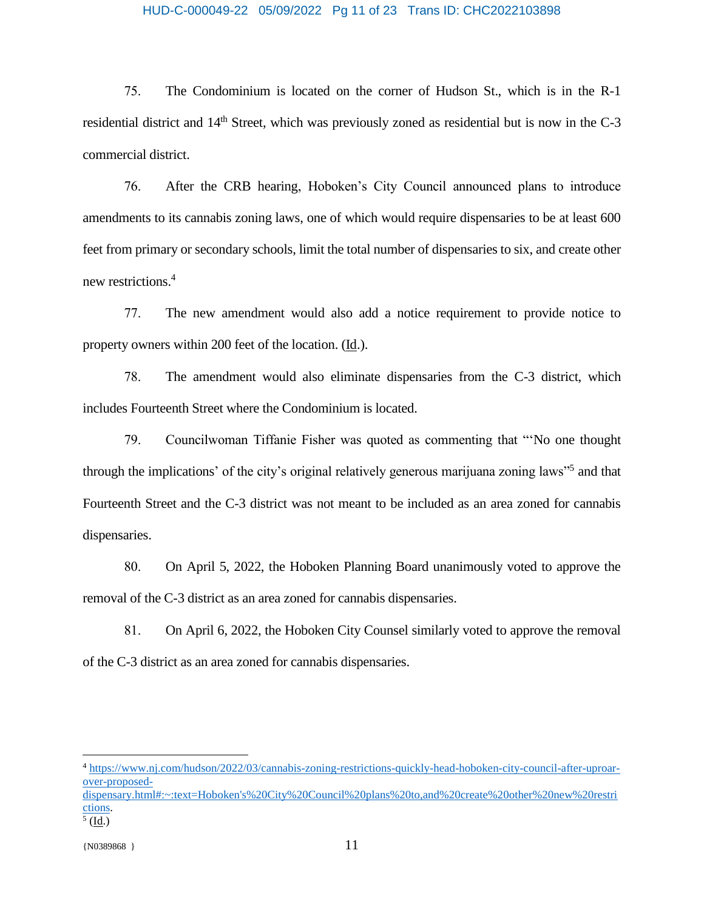#### HUD-C-000049-22 05/09/2022 Pg 11 of 23 Trans ID: CHC2022103898

75. The Condominium is located on the corner of Hudson St., which is in the R-1 residential district and 14<sup>th</sup> Street, which was previously zoned as residential but is now in the C-3 commercial district.

76. After the CRB hearing, Hoboken's City Council announced plans to introduce amendments to its cannabis zoning laws, one of which would require dispensaries to be at least 600 feet from primary or secondary schools, limit the total number of dispensaries to six, and create other new restrictions.<sup>4</sup>

77. The new amendment would also add a notice requirement to provide notice to property owners within 200 feet of the location. (Id.).

78. The amendment would also eliminate dispensaries from the C-3 district, which includes Fourteenth Street where the Condominium is located.

79. Councilwoman Tiffanie Fisher was quoted as commenting that "'No one thought through the implications' of the city's original relatively generous marijuana zoning laws"<sup>5</sup> and that Fourteenth Street and the C-3 district was not meant to be included as an area zoned for cannabis dispensaries.

80. On April 5, 2022, the Hoboken Planning Board unanimously voted to approve the removal of the C-3 district as an area zoned for cannabis dispensaries.

81. On April 6, 2022, the Hoboken City Counsel similarly voted to approve the removal of the C-3 district as an area zoned for cannabis dispensaries.

 $\overline{a}$ 

<sup>4</sup> [https://www.nj.com/hudson/2022/03/cannabis-zoning-restrictions-quickly-head-hoboken-city-council-after-uproar](https://www.nj.com/hudson/2022/03/cannabis-zoning-restrictions-quickly-head-hoboken-city-council-after-uproar-over-proposed-dispensary.html#:~:text=Hoboken)[over-proposed-](https://www.nj.com/hudson/2022/03/cannabis-zoning-restrictions-quickly-head-hoboken-city-council-after-uproar-over-proposed-dispensary.html#:~:text=Hoboken)

[dispensary.html#:~:text=Hoboken's%20City%20Council%20plans%20to,and%20create%20other%20new%20restri](https://www.nj.com/hudson/2022/03/cannabis-zoning-restrictions-quickly-head-hoboken-city-council-after-uproar-over-proposed-dispensary.html#:~:text=Hoboken) [ctions.](https://www.nj.com/hudson/2022/03/cannabis-zoning-restrictions-quickly-head-hoboken-city-council-after-uproar-over-proposed-dispensary.html#:~:text=Hoboken)

 $<sup>5</sup>$  (<u>Id</u>.)</sup>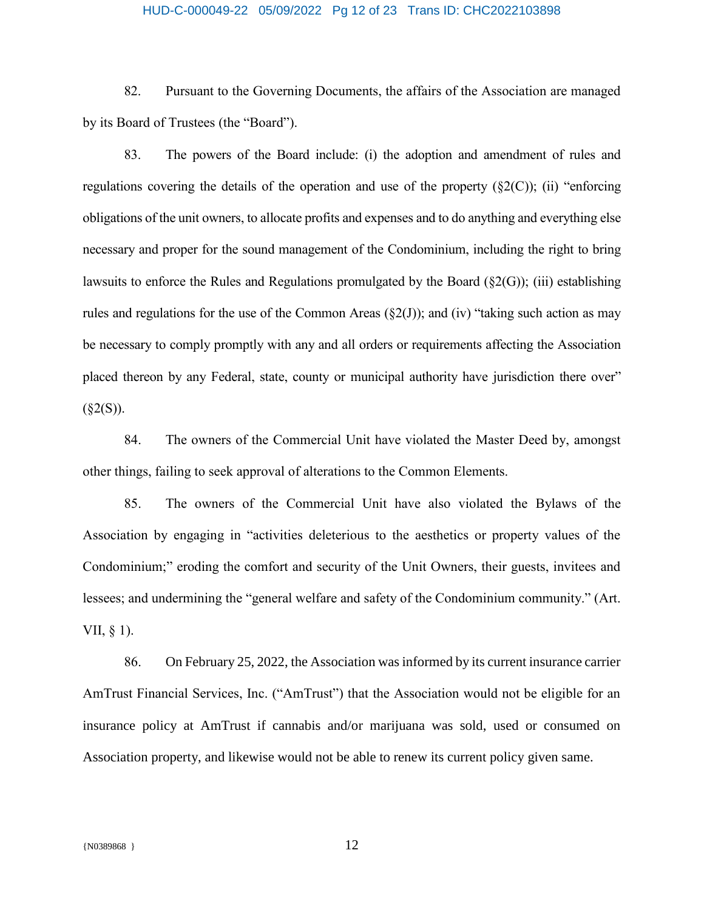# HUD-C-000049-22 05/09/2022 Pg 12 of 23 Trans ID: CHC2022103898

82. Pursuant to the Governing Documents, the affairs of the Association are managed by its Board of Trustees (the "Board").

83. The powers of the Board include: (i) the adoption and amendment of rules and regulations covering the details of the operation and use of the property  $(\S2(C))$ ; (ii) "enforcing obligations of the unit owners, to allocate profits and expenses and to do anything and everything else necessary and proper for the sound management of the Condominium, including the right to bring lawsuits to enforce the Rules and Regulations promulgated by the Board  $(\S2(G))$ ; (iii) establishing rules and regulations for the use of the Common Areas  $(\S2(J))$ ; and (iv) "taking such action as may be necessary to comply promptly with any and all orders or requirements affecting the Association placed thereon by any Federal, state, county or municipal authority have jurisdiction there over"  $(\$2(S))$ .

84. The owners of the Commercial Unit have violated the Master Deed by, amongst other things, failing to seek approval of alterations to the Common Elements.

85. The owners of the Commercial Unit have also violated the Bylaws of the Association by engaging in "activities deleterious to the aesthetics or property values of the Condominium;" eroding the comfort and security of the Unit Owners, their guests, invitees and lessees; and undermining the "general welfare and safety of the Condominium community." (Art. VII, § 1).

86. On February 25, 2022, the Association wasinformed by its current insurance carrier AmTrust Financial Services, Inc. ("AmTrust") that the Association would not be eligible for an insurance policy at AmTrust if cannabis and/or marijuana was sold, used or consumed on Association property, and likewise would not be able to renew its current policy given same.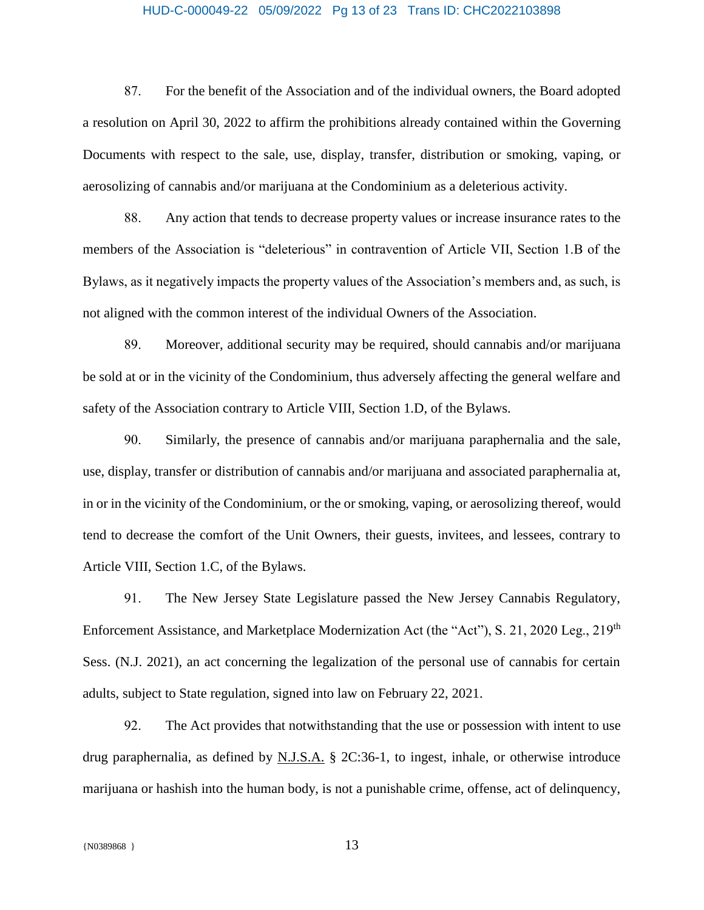## HUD-C-000049-22 05/09/2022 Pg 13 of 23 Trans ID: CHC2022103898

87. For the benefit of the Association and of the individual owners, the Board adopted a resolution on April 30, 2022 to affirm the prohibitions already contained within the Governing Documents with respect to the sale, use, display, transfer, distribution or smoking, vaping, or aerosolizing of cannabis and/or marijuana at the Condominium as a deleterious activity.

88. Any action that tends to decrease property values or increase insurance rates to the members of the Association is "deleterious" in contravention of Article VII, Section 1.B of the Bylaws, as it negatively impacts the property values of the Association's members and, as such, is not aligned with the common interest of the individual Owners of the Association.

89. Moreover, additional security may be required, should cannabis and/or marijuana be sold at or in the vicinity of the Condominium, thus adversely affecting the general welfare and safety of the Association contrary to Article VIII, Section 1.D, of the Bylaws.

90. Similarly, the presence of cannabis and/or marijuana paraphernalia and the sale, use, display, transfer or distribution of cannabis and/or marijuana and associated paraphernalia at, in or in the vicinity of the Condominium, or the or smoking, vaping, or aerosolizing thereof, would tend to decrease the comfort of the Unit Owners, their guests, invitees, and lessees, contrary to Article VIII, Section 1.C, of the Bylaws.

91. The New Jersey State Legislature passed the New Jersey Cannabis Regulatory, Enforcement Assistance, and Marketplace Modernization Act (the "Act"), S. 21, 2020 Leg., 219<sup>th</sup> Sess. (N.J. 2021), an act concerning the legalization of the personal use of cannabis for certain adults, subject to State regulation, signed into law on February 22, 2021.

92. The Act provides that notwithstanding that the use or possession with intent to use drug paraphernalia, as defined by N.J.S.A. § 2C:36-1, to ingest, inhale, or otherwise introduce marijuana or hashish into the human body, is not a punishable crime, offense, act of delinquency,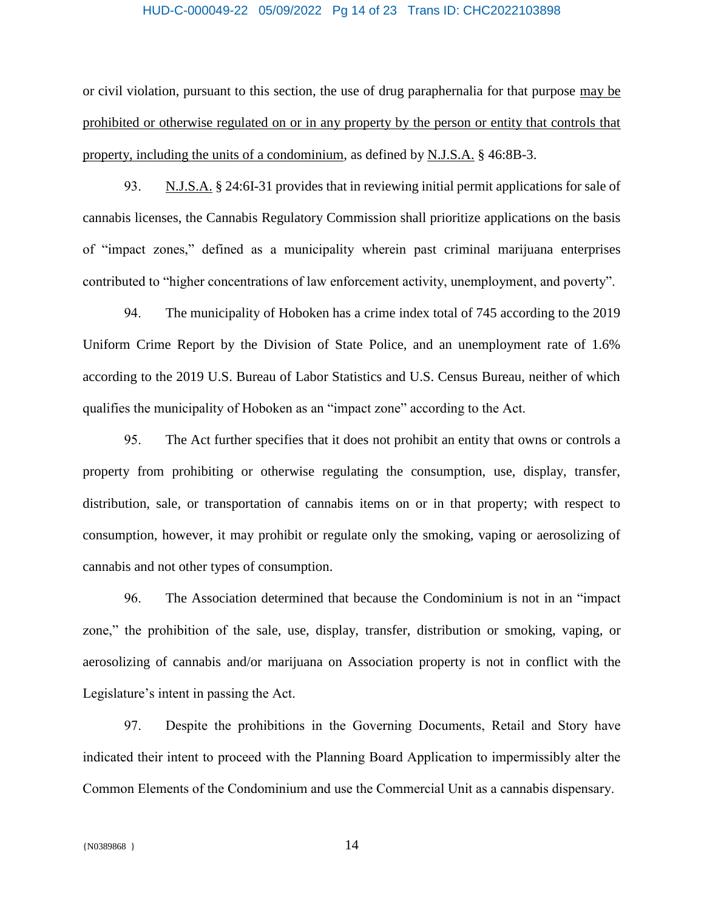#### HUD-C-000049-22 05/09/2022 Pg 14 of 23 Trans ID: CHC2022103898

or civil violation, pursuant to this section, the use of drug paraphernalia for that purpose may be prohibited or otherwise regulated on or in any property by the person or entity that controls that property, including the units of a condominium, as defined by N.J.S.A. § 46:8B-3.

93. N.J.S.A. § 24:6I-31 provides that in reviewing initial permit applications for sale of cannabis licenses, the Cannabis Regulatory Commission shall prioritize applications on the basis of "impact zones," defined as a municipality wherein past criminal marijuana enterprises contributed to "higher concentrations of law enforcement activity, unemployment, and poverty".

94. The municipality of Hoboken has a crime index total of 745 according to the 2019 Uniform Crime Report by the Division of State Police, and an unemployment rate of 1.6% according to the 2019 U.S. Bureau of Labor Statistics and U.S. Census Bureau, neither of which qualifies the municipality of Hoboken as an "impact zone" according to the Act.

95. The Act further specifies that it does not prohibit an entity that owns or controls a property from prohibiting or otherwise regulating the consumption, use, display, transfer, distribution, sale, or transportation of cannabis items on or in that property; with respect to consumption, however, it may prohibit or regulate only the smoking, vaping or aerosolizing of cannabis and not other types of consumption.

96. The Association determined that because the Condominium is not in an "impact zone," the prohibition of the sale, use, display, transfer, distribution or smoking, vaping, or aerosolizing of cannabis and/or marijuana on Association property is not in conflict with the Legislature's intent in passing the Act.

97. Despite the prohibitions in the Governing Documents, Retail and Story have indicated their intent to proceed with the Planning Board Application to impermissibly alter the Common Elements of the Condominium and use the Commercial Unit as a cannabis dispensary.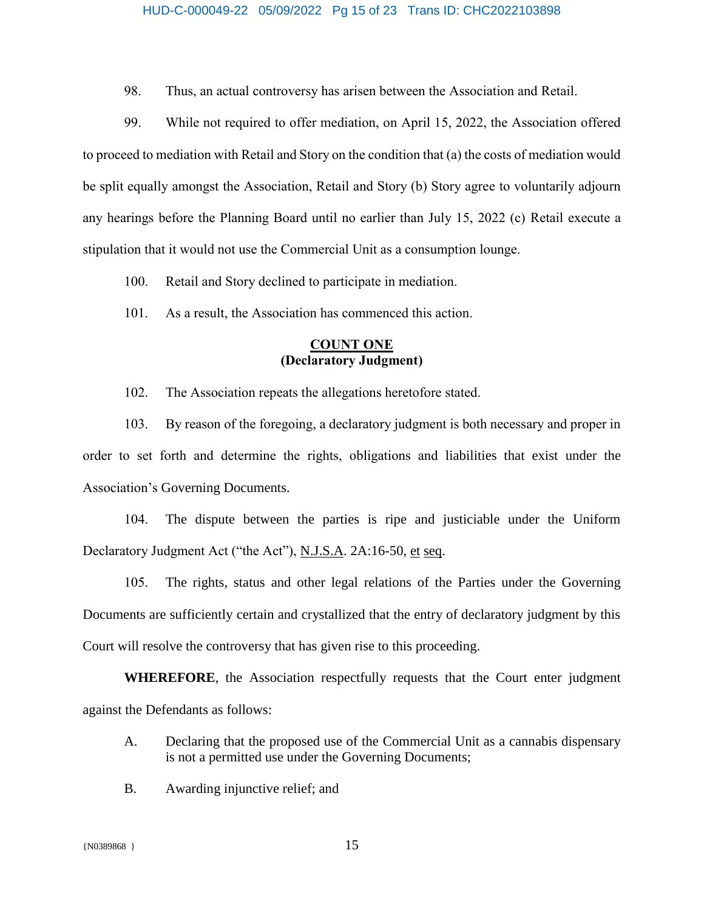## HUD-C-000049-22 05/09/2022 Pg 15 of 23 Trans ID: CHC2022103898

98. Thus, an actual controversy has arisen between the Association and Retail.

99. While not required to offer mediation, on April 15, 2022, the Association offered to proceed to mediation with Retail and Story on the condition that (a) the costs of mediation would be split equally amongst the Association, Retail and Story (b) Story agree to voluntarily adjourn any hearings before the Planning Board until no earlier than July 15, 2022 (c) Retail execute a stipulation that it would not use the Commercial Unit as a consumption lounge.

- 100. Retail and Story declined to participate in mediation.
- 101. As a result, the Association has commenced this action.

### **COUNT ONE (Declaratory Judgment)**

102. The Association repeats the allegations heretofore stated.

103. By reason of the foregoing, a declaratory judgment is both necessary and proper in order to set forth and determine the rights, obligations and liabilities that exist under the Association's Governing Documents.

104. The dispute between the parties is ripe and justiciable under the Uniform Declaratory Judgment Act ("the Act"), N.J.S.A. 2A:16-50, et seq.

105. The rights, status and other legal relations of the Parties under the Governing Documents are sufficiently certain and crystallized that the entry of declaratory judgment by this Court will resolve the controversy that has given rise to this proceeding.

**WHEREFORE**, the Association respectfully requests that the Court enter judgment against the Defendants as follows:

- A. Declaring that the proposed use of the Commercial Unit as a cannabis dispensary is not a permitted use under the Governing Documents;
- B. Awarding injunctive relief; and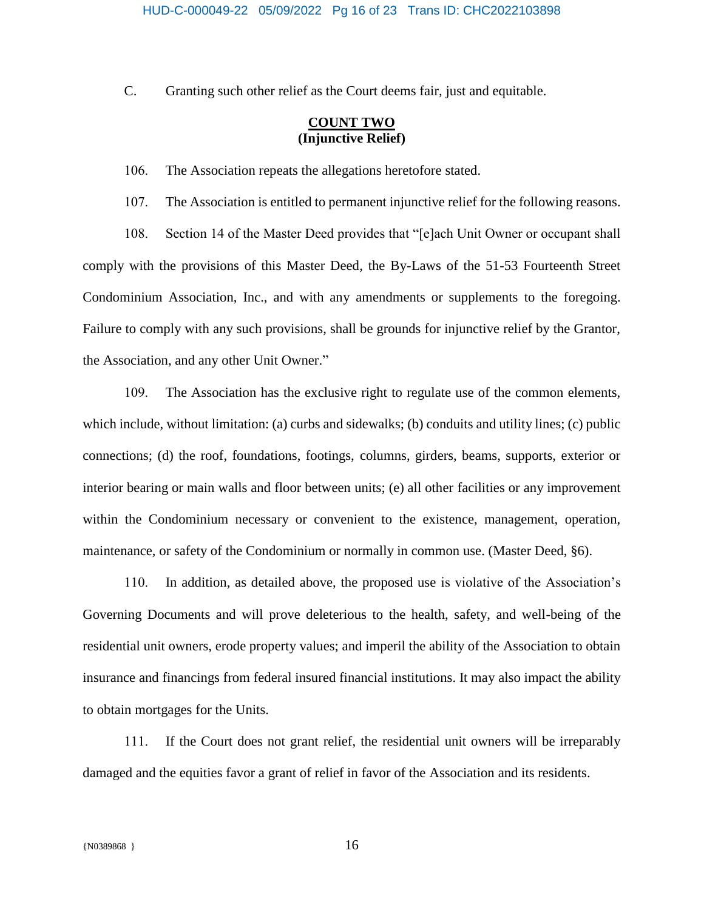C. Granting such other relief as the Court deems fair, just and equitable.

### **COUNT TWO (Injunctive Relief)**

107. The Association is entitled to permanent injunctive relief for the following reasons.

106. The Association repeats the allegations heretofore stated.

108. Section 14 of the Master Deed provides that "[e]ach Unit Owner or occupant shall comply with the provisions of this Master Deed, the By-Laws of the 51-53 Fourteenth Street Condominium Association, Inc., and with any amendments or supplements to the foregoing. Failure to comply with any such provisions, shall be grounds for injunctive relief by the Grantor, the Association, and any other Unit Owner."

109. The Association has the exclusive right to regulate use of the common elements, which include, without limitation: (a) curbs and sidewalks; (b) conduits and utility lines; (c) public connections; (d) the roof, foundations, footings, columns, girders, beams, supports, exterior or interior bearing or main walls and floor between units; (e) all other facilities or any improvement within the Condominium necessary or convenient to the existence, management, operation, maintenance, or safety of the Condominium or normally in common use. (Master Deed, §6).

110. In addition, as detailed above, the proposed use is violative of the Association's Governing Documents and will prove deleterious to the health, safety, and well-being of the residential unit owners, erode property values; and imperil the ability of the Association to obtain insurance and financings from federal insured financial institutions. It may also impact the ability to obtain mortgages for the Units.

111. If the Court does not grant relief, the residential unit owners will be irreparably damaged and the equities favor a grant of relief in favor of the Association and its residents.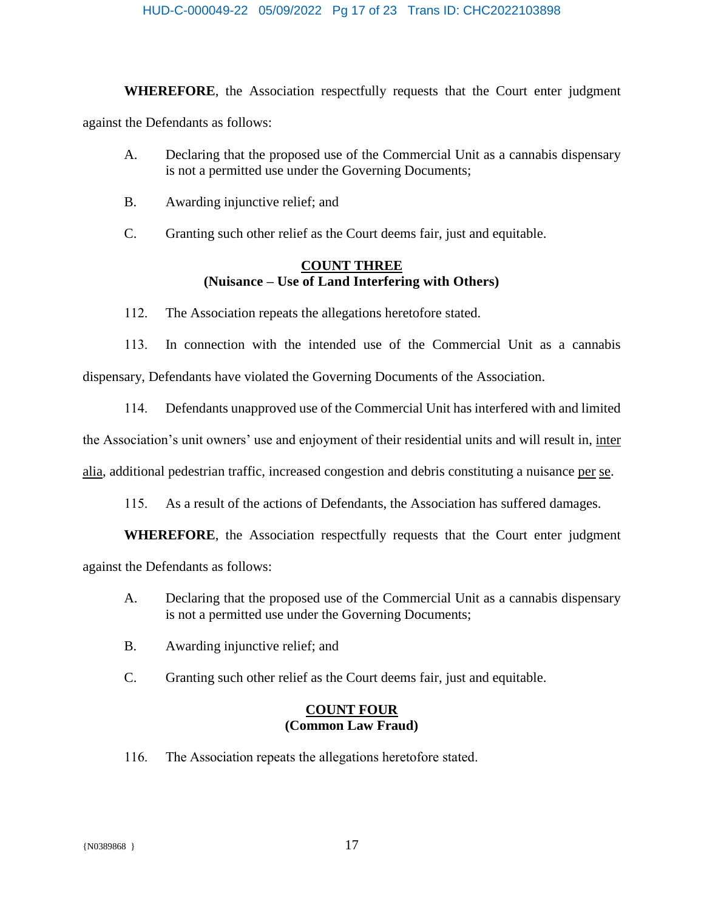#### HUD-C-000049-22 05/09/2022 Pg 17 of 23 Trans ID: CHC2022103898

**WHEREFORE**, the Association respectfully requests that the Court enter judgment against the Defendants as follows:

- A. Declaring that the proposed use of the Commercial Unit as a cannabis dispensary is not a permitted use under the Governing Documents;
- B. Awarding injunctive relief; and
- C. Granting such other relief as the Court deems fair, just and equitable.

## **COUNT THREE (Nuisance – Use of Land Interfering with Others)**

112. The Association repeats the allegations heretofore stated.

113. In connection with the intended use of the Commercial Unit as a cannabis dispensary, Defendants have violated the Governing Documents of the Association.

114. Defendants unapproved use of the Commercial Unit has interfered with and limited

the Association's unit owners' use and enjoyment of their residential units and will result in, inter

alia, additional pedestrian traffic, increased congestion and debris constituting a nuisance per se.

115. As a result of the actions of Defendants, the Association has suffered damages.

**WHEREFORE**, the Association respectfully requests that the Court enter judgment

against the Defendants as follows:

- A. Declaring that the proposed use of the Commercial Unit as a cannabis dispensary is not a permitted use under the Governing Documents;
- B. Awarding injunctive relief; and
- C. Granting such other relief as the Court deems fair, just and equitable.

### **COUNT FOUR (Common Law Fraud)**

116. The Association repeats the allegations heretofore stated.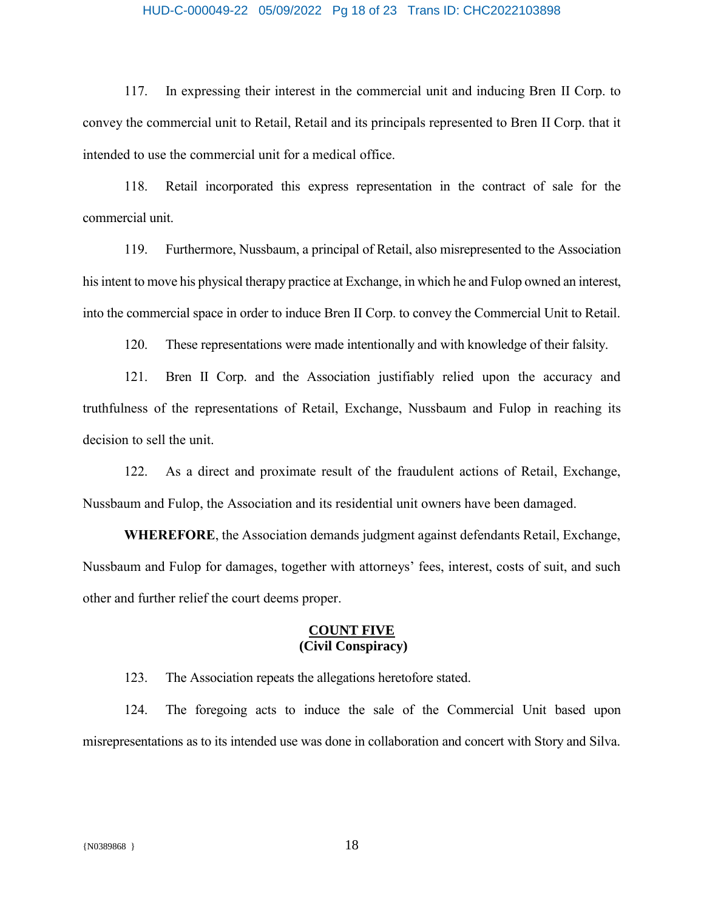## HUD-C-000049-22 05/09/2022 Pg 18 of 23 Trans ID: CHC2022103898

117. In expressing their interest in the commercial unit and inducing Bren II Corp. to convey the commercial unit to Retail, Retail and its principals represented to Bren II Corp. that it intended to use the commercial unit for a medical office.

118. Retail incorporated this express representation in the contract of sale for the commercial unit.

119. Furthermore, Nussbaum, a principal of Retail, also misrepresented to the Association his intent to move his physical therapy practice at Exchange, in which he and Fulop owned an interest, into the commercial space in order to induce Bren II Corp. to convey the Commercial Unit to Retail.

120. These representations were made intentionally and with knowledge of their falsity.

121. Bren II Corp. and the Association justifiably relied upon the accuracy and truthfulness of the representations of Retail, Exchange, Nussbaum and Fulop in reaching its decision to sell the unit.

122. As a direct and proximate result of the fraudulent actions of Retail, Exchange, Nussbaum and Fulop, the Association and its residential unit owners have been damaged.

**WHEREFORE**, the Association demands judgment against defendants Retail, Exchange, Nussbaum and Fulop for damages, together with attorneys' fees, interest, costs of suit, and such other and further relief the court deems proper.

### **COUNT FIVE (Civil Conspiracy)**

123. The Association repeats the allegations heretofore stated.

124. The foregoing acts to induce the sale of the Commercial Unit based upon misrepresentations as to its intended use was done in collaboration and concert with Story and Silva.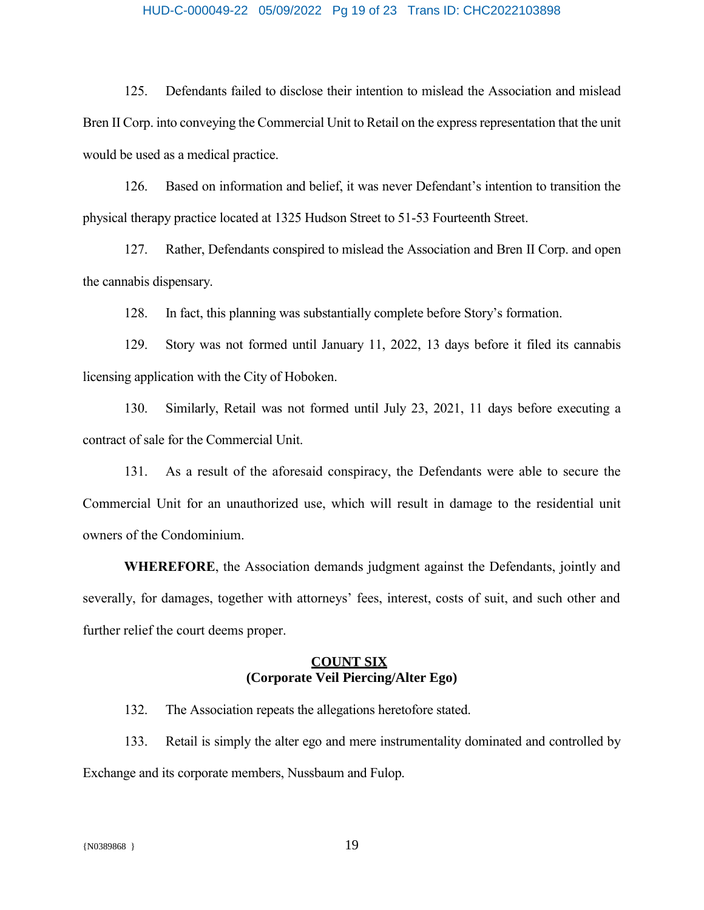#### HUD-C-000049-22 05/09/2022 Pg 19 of 23 Trans ID: CHC2022103898

125. Defendants failed to disclose their intention to mislead the Association and mislead Bren II Corp. into conveying the Commercial Unit to Retail on the express representation that the unit would be used as a medical practice.

126. Based on information and belief, it was never Defendant's intention to transition the physical therapy practice located at 1325 Hudson Street to 51-53 Fourteenth Street.

127. Rather, Defendants conspired to mislead the Association and Bren II Corp. and open the cannabis dispensary.

128. In fact, this planning was substantially complete before Story's formation.

129. Story was not formed until January 11, 2022, 13 days before it filed its cannabis licensing application with the City of Hoboken.

130. Similarly, Retail was not formed until July 23, 2021, 11 days before executing a contract of sale for the Commercial Unit.

131. As a result of the aforesaid conspiracy, the Defendants were able to secure the Commercial Unit for an unauthorized use, which will result in damage to the residential unit owners of the Condominium.

**WHEREFORE**, the Association demands judgment against the Defendants, jointly and severally, for damages, together with attorneys' fees, interest, costs of suit, and such other and further relief the court deems proper.

### **COUNT SIX (Corporate Veil Piercing/Alter Ego)**

132. The Association repeats the allegations heretofore stated.

133. Retail is simply the alter ego and mere instrumentality dominated and controlled by Exchange and its corporate members, Nussbaum and Fulop.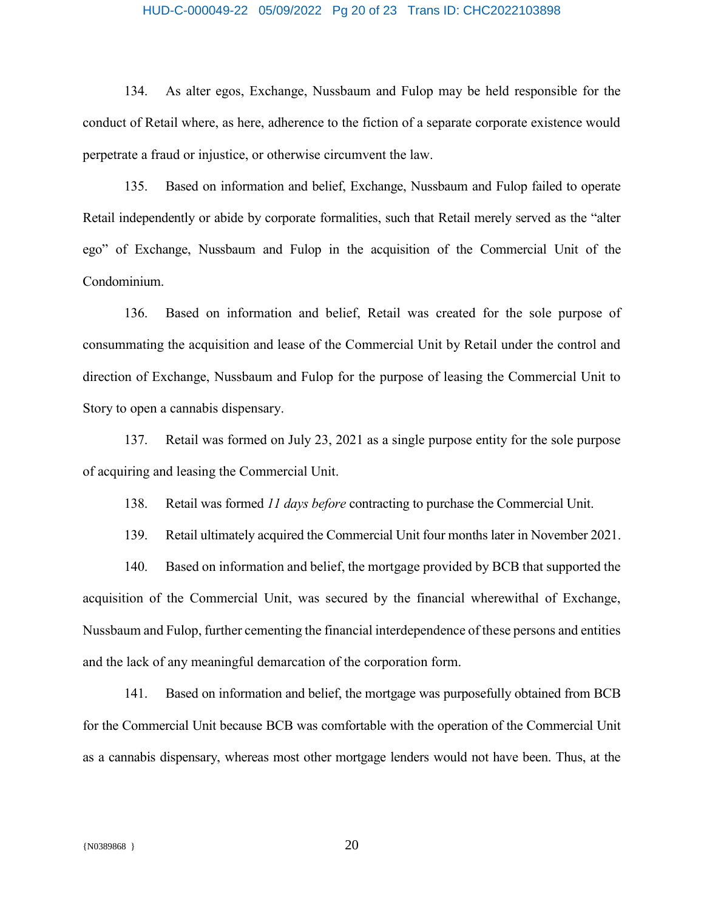# HUD-C-000049-22 05/09/2022 Pg 20 of 23 Trans ID: CHC2022103898

134. As alter egos, Exchange, Nussbaum and Fulop may be held responsible for the conduct of Retail where, as here, adherence to the fiction of a separate corporate existence would perpetrate a fraud or injustice, or otherwise circumvent the law.

135. Based on information and belief, Exchange, Nussbaum and Fulop failed to operate Retail independently or abide by corporate formalities, such that Retail merely served as the "alter ego" of Exchange, Nussbaum and Fulop in the acquisition of the Commercial Unit of the Condominium.

136. Based on information and belief, Retail was created for the sole purpose of consummating the acquisition and lease of the Commercial Unit by Retail under the control and direction of Exchange, Nussbaum and Fulop for the purpose of leasing the Commercial Unit to Story to open a cannabis dispensary.

137. Retail was formed on July 23, 2021 as a single purpose entity for the sole purpose of acquiring and leasing the Commercial Unit.

138. Retail was formed *11 days before* contracting to purchase the Commercial Unit.

139. Retail ultimately acquired the Commercial Unit four months later in November 2021.

140. Based on information and belief, the mortgage provided by BCB that supported the acquisition of the Commercial Unit, was secured by the financial wherewithal of Exchange, Nussbaum and Fulop, further cementing the financial interdependence of these persons and entities and the lack of any meaningful demarcation of the corporation form.

141. Based on information and belief, the mortgage was purposefully obtained from BCB for the Commercial Unit because BCB was comfortable with the operation of the Commercial Unit as a cannabis dispensary, whereas most other mortgage lenders would not have been. Thus, at the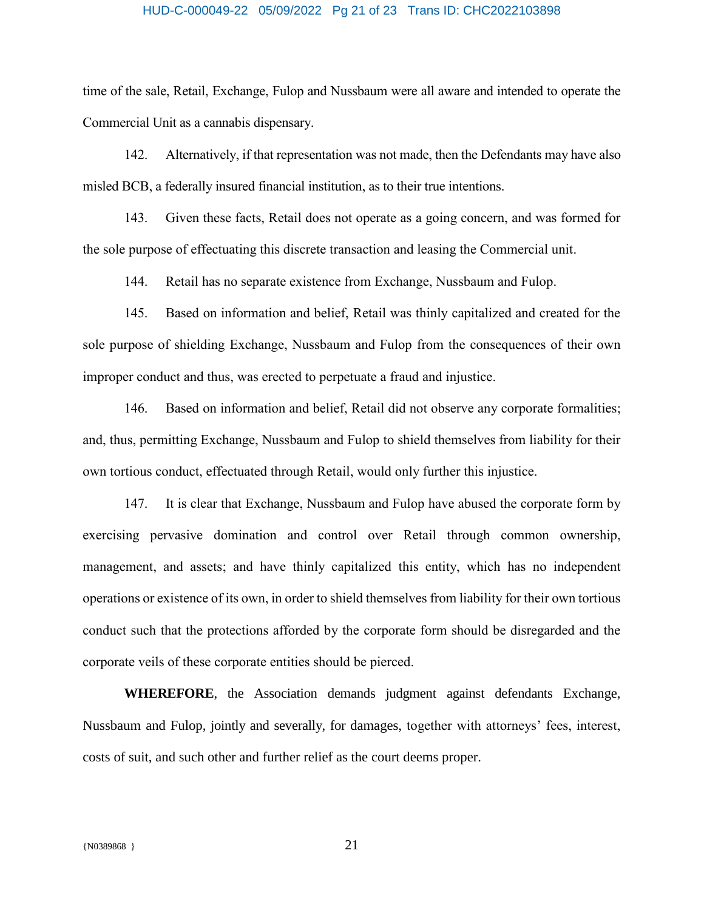#### HUD-C-000049-22 05/09/2022 Pg 21 of 23 Trans ID: CHC2022103898

time of the sale, Retail, Exchange, Fulop and Nussbaum were all aware and intended to operate the Commercial Unit as a cannabis dispensary.

142. Alternatively, if that representation was not made, then the Defendants may have also misled BCB, a federally insured financial institution, as to their true intentions.

143. Given these facts, Retail does not operate as a going concern, and was formed for the sole purpose of effectuating this discrete transaction and leasing the Commercial unit.

144. Retail has no separate existence from Exchange, Nussbaum and Fulop.

145. Based on information and belief, Retail was thinly capitalized and created for the sole purpose of shielding Exchange, Nussbaum and Fulop from the consequences of their own improper conduct and thus, was erected to perpetuate a fraud and injustice.

146. Based on information and belief, Retail did not observe any corporate formalities; and, thus, permitting Exchange, Nussbaum and Fulop to shield themselves from liability for their own tortious conduct, effectuated through Retail, would only further this injustice.

147. It is clear that Exchange, Nussbaum and Fulop have abused the corporate form by exercising pervasive domination and control over Retail through common ownership, management, and assets; and have thinly capitalized this entity, which has no independent operations or existence of its own, in order to shield themselves from liability for their own tortious conduct such that the protections afforded by the corporate form should be disregarded and the corporate veils of these corporate entities should be pierced.

**WHEREFORE**, the Association demands judgment against defendants Exchange, Nussbaum and Fulop, jointly and severally, for damages, together with attorneys' fees, interest, costs of suit, and such other and further relief as the court deems proper.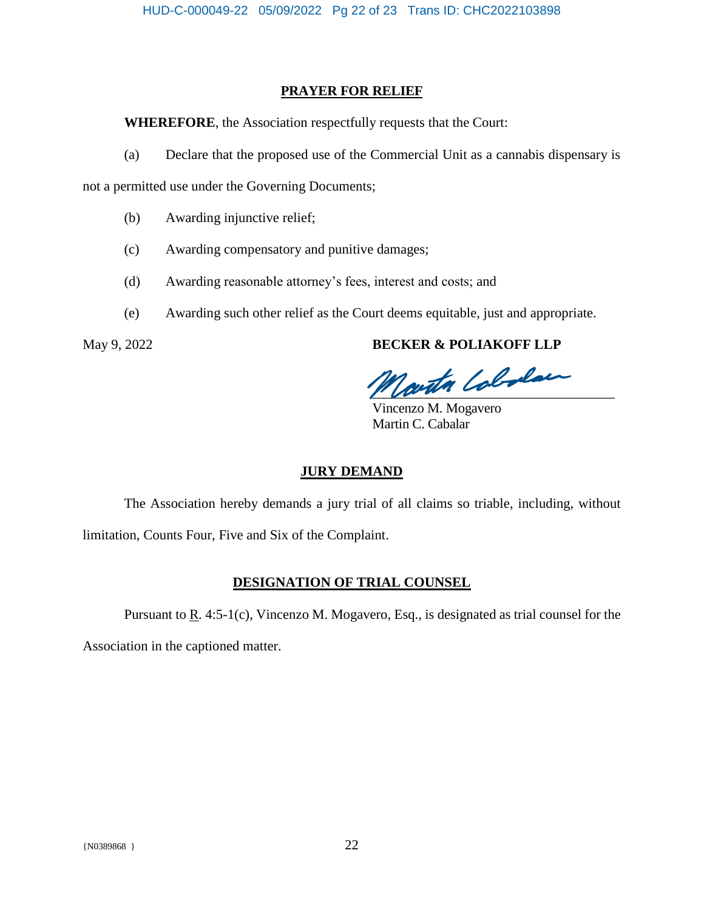### **PRAYER FOR RELIEF**

**WHEREFORE**, the Association respectfully requests that the Court:

(a) Declare that the proposed use of the Commercial Unit as a cannabis dispensary is

not a permitted use under the Governing Documents;

- (b) Awarding injunctive relief;
- (c) Awarding compensatory and punitive damages;
- (d) Awarding reasonable attorney's fees, interest and costs; and
- (e) Awarding such other relief as the Court deems equitable, just and appropriate.

# May 9, 2022 **BECKER & POLIAKOFF LLP**

Jouth Colodan

Vincenzo M. Mogavero Martin C. Cabalar

### **JURY DEMAND**

The Association hereby demands a jury trial of all claims so triable, including, without limitation, Counts Four, Five and Six of the Complaint.

# **DESIGNATION OF TRIAL COUNSEL**

Pursuant to <u>R</u>. 4:5-1(c), Vincenzo M. Mogavero, Esq., is designated as trial counsel for the

Association in the captioned matter.